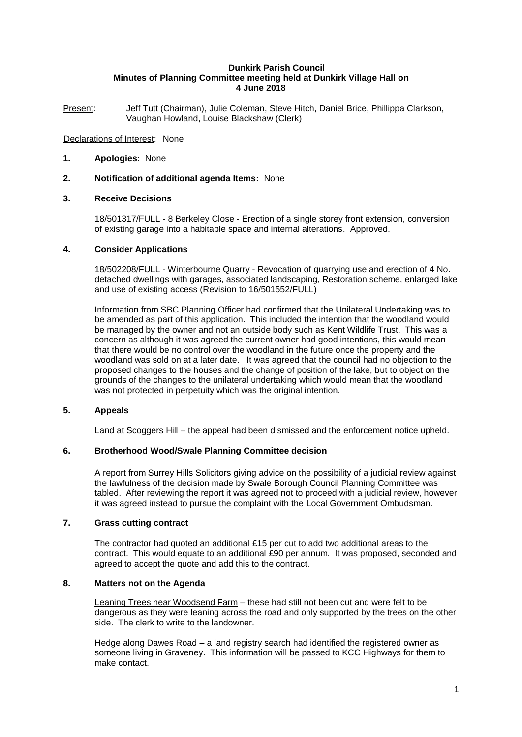### **Dunkirk Parish Council Minutes of Planning Committee meeting held at Dunkirk Village Hall on 4 June 2018**

Present: Jeff Tutt (Chairman), Julie Coleman, Steve Hitch, Daniel Brice, Phillippa Clarkson, Vaughan Howland, Louise Blackshaw (Clerk)

# Declarations of Interest: None

- **1. Apologies:** None
- **2. Notification of additional agenda Items:** None

# **3. Receive Decisions**

18/501317/FULL - 8 Berkeley Close - Erection of a single storey front extension, conversion of existing garage into a habitable space and internal alterations. Approved.

## **4. Consider Applications**

18/502208/FULL - Winterbourne Quarry - Revocation of quarrying use and erection of 4 No. detached dwellings with garages, associated landscaping, Restoration scheme, enlarged lake and use of existing access (Revision to 16/501552/FULL)

Information from SBC Planning Officer had confirmed that the Unilateral Undertaking was to be amended as part of this application. This included the intention that the woodland would be managed by the owner and not an outside body such as Kent Wildlife Trust. This was a concern as although it was agreed the current owner had good intentions, this would mean that there would be no control over the woodland in the future once the property and the woodland was sold on at a later date. It was agreed that the council had no objection to the proposed changes to the houses and the change of position of the lake, but to object on the grounds of the changes to the unilateral undertaking which would mean that the woodland was not protected in perpetuity which was the original intention.

## **5. Appeals**

Land at Scoggers Hill – the appeal had been dismissed and the enforcement notice upheld.

#### **6. Brotherhood Wood/Swale Planning Committee decision**

A report from Surrey Hills Solicitors giving advice on the possibility of a judicial review against the lawfulness of the decision made by Swale Borough Council Planning Committee was tabled. After reviewing the report it was agreed not to proceed with a judicial review, however it was agreed instead to pursue the complaint with the Local Government Ombudsman.

#### **7. Grass cutting contract**

The contractor had quoted an additional £15 per cut to add two additional areas to the contract. This would equate to an additional £90 per annum. It was proposed, seconded and agreed to accept the quote and add this to the contract.

# **8. Matters not on the Agenda**

Leaning Trees near Woodsend Farm – these had still not been cut and were felt to be dangerous as they were leaning across the road and only supported by the trees on the other side. The clerk to write to the landowner.

Hedge along Dawes Road - a land registry search had identified the registered owner as someone living in Graveney. This information will be passed to KCC Highways for them to make contact.